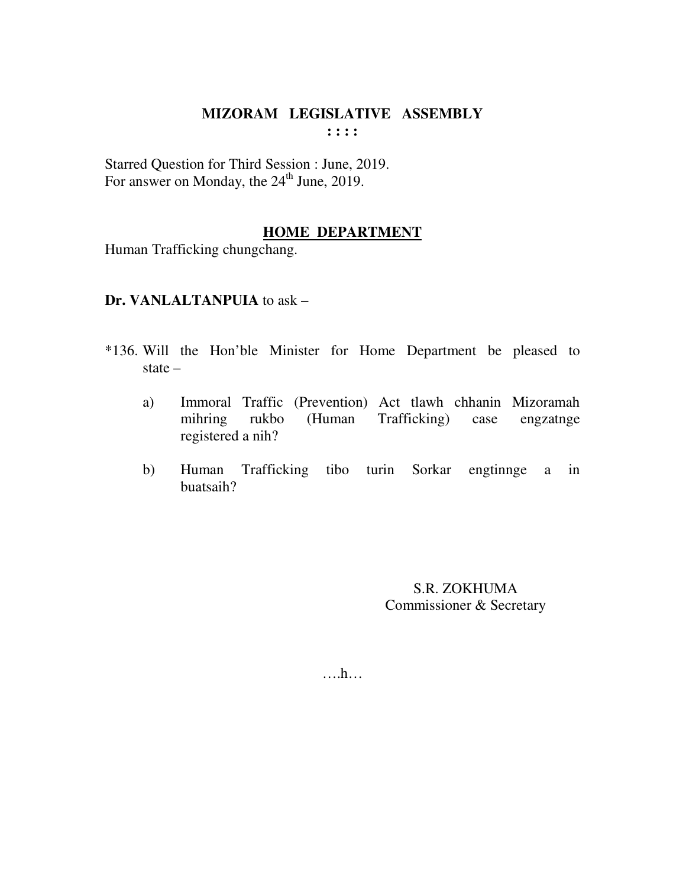Starred Question for Third Session : June, 2019. For answer on Monday, the 24<sup>th</sup> June, 2019.

## **HOME DEPARTMENT**

Human Trafficking chungchang.

#### Dr. VANLALTANPUIA to ask -

- \*136. Will the Hon'ble Minister for Home Department be pleased to state  $-$ 
	- Immoral Traffic (Prevention) Act tlawh chhanin Mizoramah a) Trafficking) mihring rukbo (Human case engzatnge registered a nih?
	- $b)$ Human Trafficking tibo turin Sorkar engtinnge a in buatsaih?

S.R. ZOKHUMA Commissioner & Secretary

 $\dots h\dots$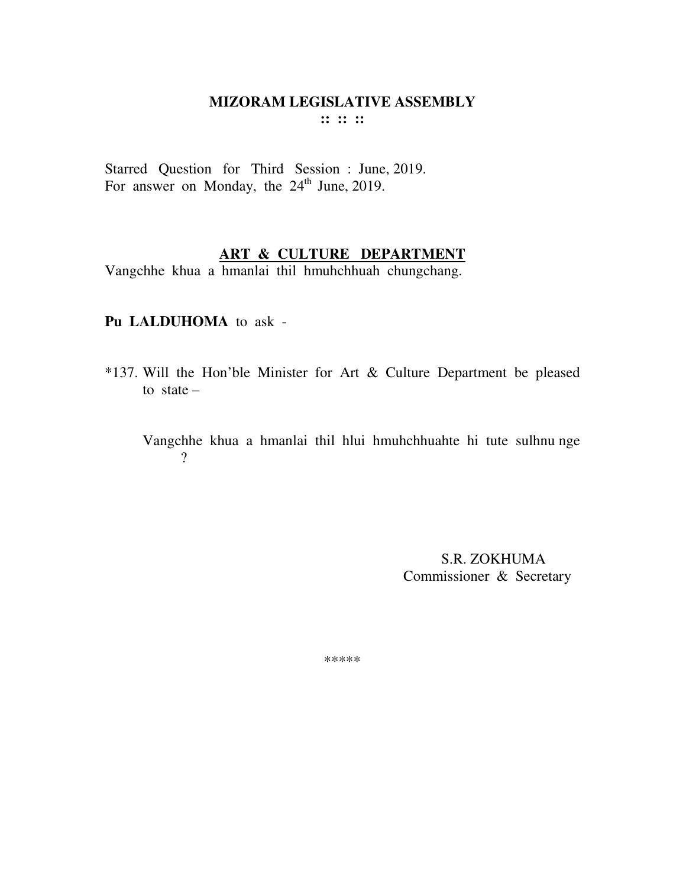Starred Question for Third Session : June, 2019. For answer on Monday, the  $24<sup>th</sup>$  June, 2019.

# **ART & CULTURE DEPARTMENT**

Vangchhe khua a hmanlai thil hmuhchhuah chungchang.

#### **Pu LALDUHOMA** to ask -

- \*137. Will the Hon'ble Minister for Art & Culture Department be pleased to state  $-$ 
	- Vangchhe khua a hmanlai thil hlui hmuhchhuahte hi tute sulhnu nge ?

 S.R. ZOKHUMA Commissioner & Secretary

\*\*\*\*\*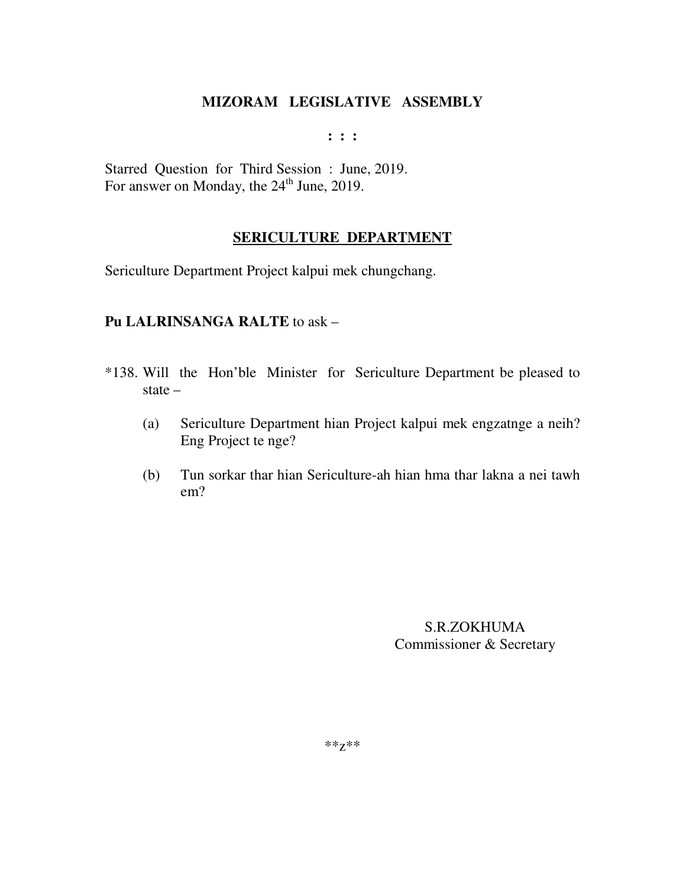**: : :** 

Starred Question for Third Session : June, 2019. For answer on Monday, the 24<sup>th</sup> June, 2019.

# **SERICULTURE DEPARTMENT**

Sericulture Department Project kalpui mek chungchang.

#### **Pu LALRINSANGA RALTE** to ask –

- \*138. Will the Hon'ble Minister for Sericulture Department be pleased to state –
	- (a) Sericulture Department hian Project kalpui mek engzatnge a neih? Eng Project te nge?
	- (b) Tun sorkar thar hian Sericulture-ah hian hma thar lakna a nei tawh em?

S.R.ZOKHUMA Commissioner & Secretary

\*\*z\*\*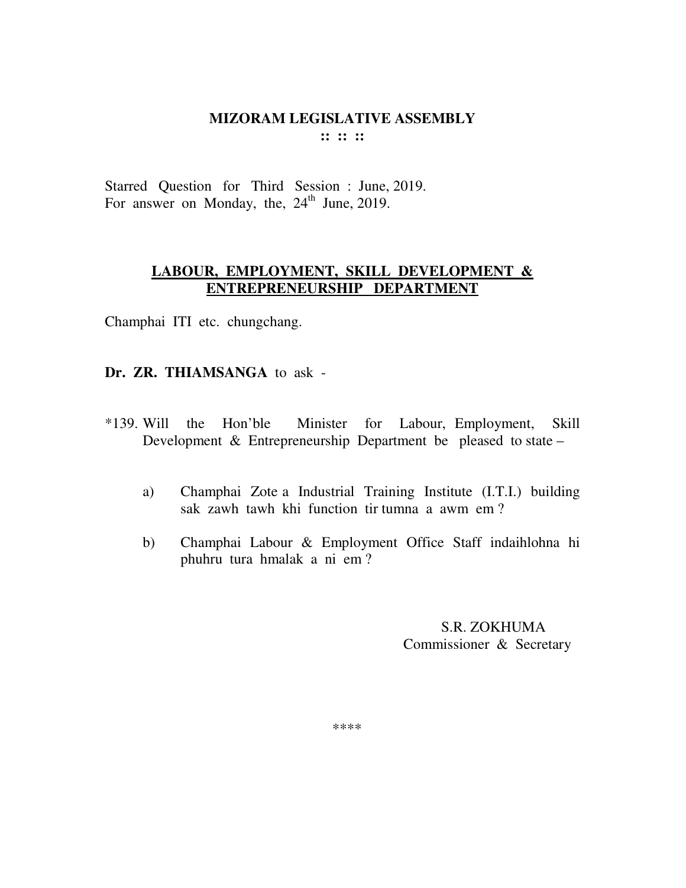Starred Question for Third Session : June, 2019. For answer on Monday, the,  $24<sup>th</sup>$  June, 2019.

### **LABOUR, EMPLOYMENT, SKILL DEVELOPMENT & ENTREPRENEURSHIP DEPARTMENT**

Champhai ITI etc. chungchang.

## **Dr. ZR. THIAMSANGA** to ask -

- \*139. Will the Hon'ble Minister for Labour, Employment, Skill Development & Entrepreneurship Department be pleased to state –
	- a) Champhai Zote a Industrial Training Institute (I.T.I.) building sak zawh tawh khi function tir tumna a awm em ?
	- b) Champhai Labour & Employment Office Staff indaihlohna hi phuhru tura hmalak a ni em ?

 S.R. ZOKHUMA Commissioner & Secretary

\*\*\*\*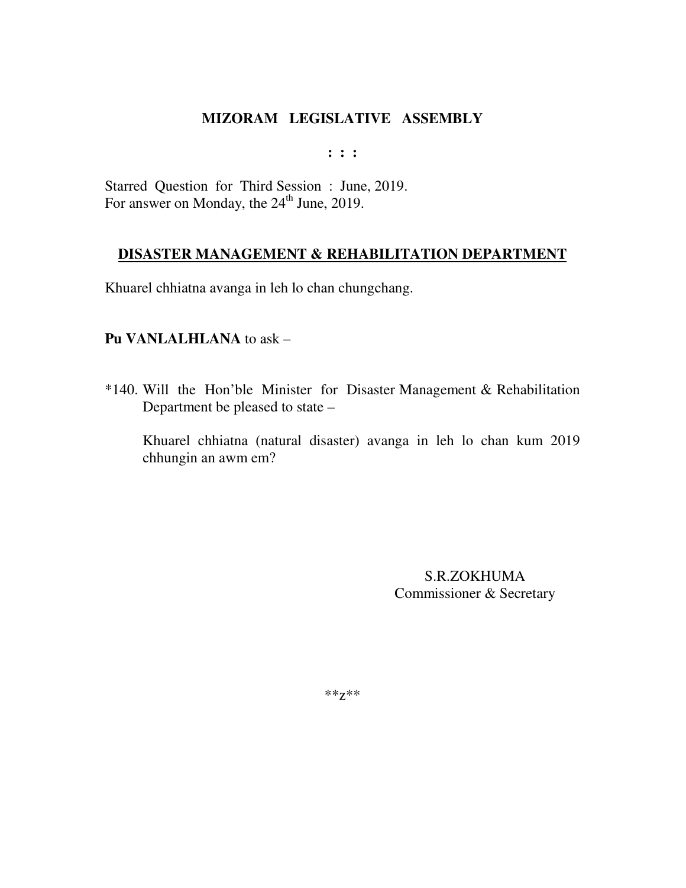**: : :** 

Starred Question for Third Session : June, 2019. For answer on Monday, the 24<sup>th</sup> June, 2019.

## **DISASTER MANAGEMENT & REHABILITATION DEPARTMENT**

Khuarel chhiatna avanga in leh lo chan chungchang.

#### **Pu VANLALHLANA** to ask –

\*140. Will the Hon'ble Minister for Disaster Management & Rehabilitation Department be pleased to state –

Khuarel chhiatna (natural disaster) avanga in leh lo chan kum 2019 chhungin an awm em?

> S.R.ZOKHUMA Commissioner & Secretary

\*\*z\*\*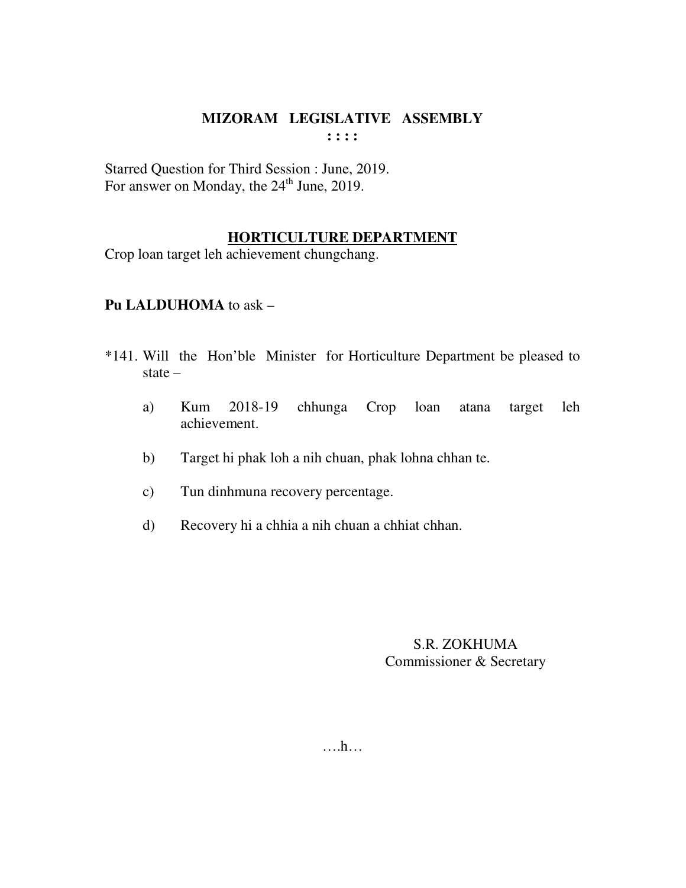Starred Question for Third Session : June, 2019. For answer on Monday, the  $24<sup>th</sup>$  June, 2019.

#### **HORTICULTURE DEPARTMENT**

Crop loan target leh achievement chungchang.

## **Pu LALDUHOMA** to ask –

- \*141. Will the Hon'ble Minister for Horticulture Department be pleased to state –
	- a) Kum 2018-19 chhunga Crop loan atana target leh achievement.
	- b) Target hi phak loh a nih chuan, phak lohna chhan te.
	- c) Tun dinhmuna recovery percentage.
	- d) Recovery hi a chhia a nih chuan a chhiat chhan.

### S.R. ZOKHUMA Commissioner & Secretary

….h…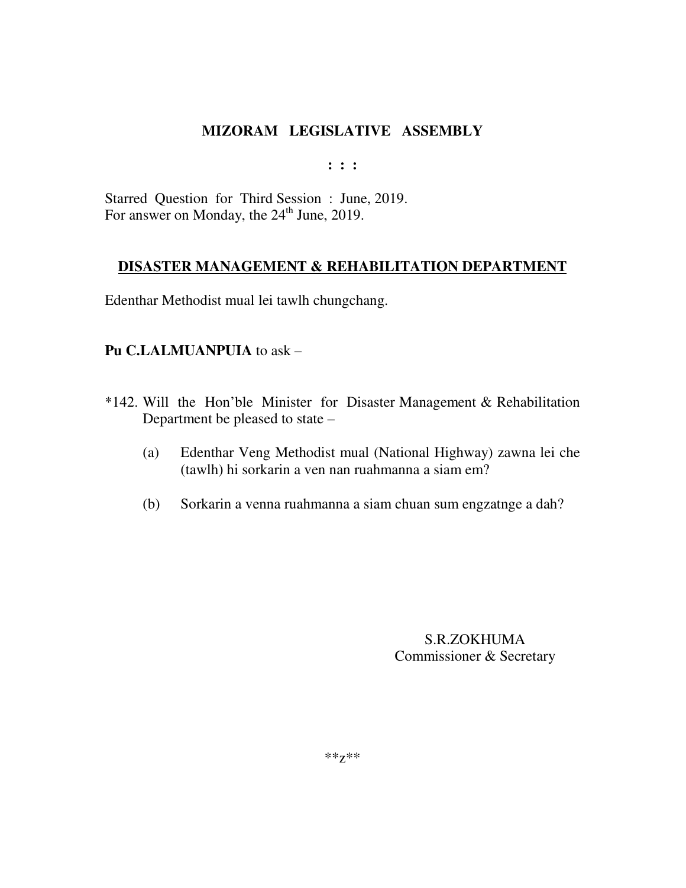**: : :** 

Starred Question for Third Session : June, 2019. For answer on Monday, the  $24<sup>th</sup>$  June, 2019.

## **DISASTER MANAGEMENT & REHABILITATION DEPARTMENT**

Edenthar Methodist mual lei tawlh chungchang.

## **Pu C.LALMUANPUIA** to ask –

- \*142. Will the Hon'ble Minister for Disaster Management & Rehabilitation Department be pleased to state –
	- (a) Edenthar Veng Methodist mual (National Highway) zawna lei che (tawlh) hi sorkarin a ven nan ruahmanna a siam em?
	- (b) Sorkarin a venna ruahmanna a siam chuan sum engzatnge a dah?

S.R.ZOKHUMA Commissioner & Secretary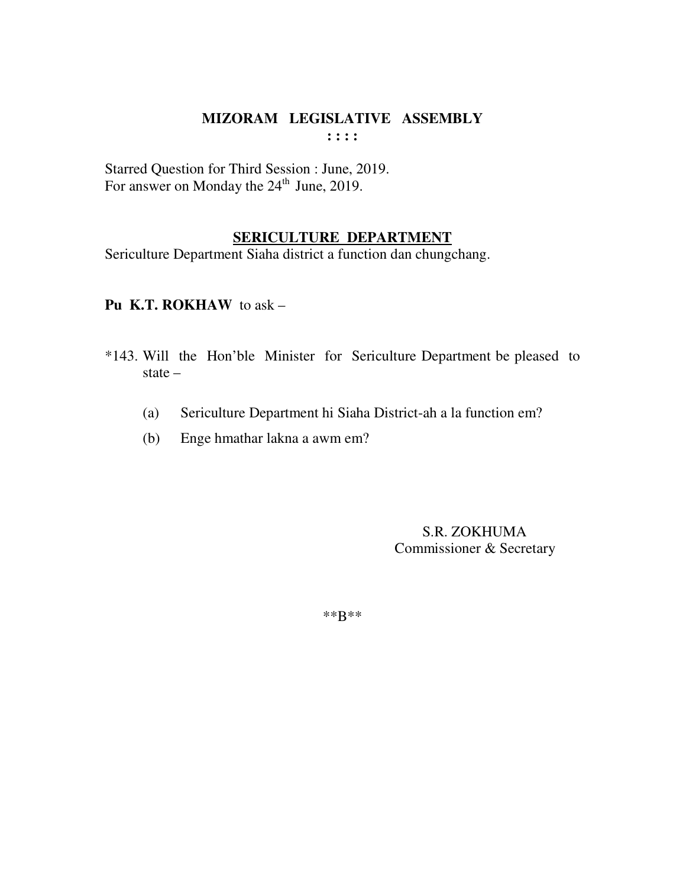Starred Question for Third Session : June, 2019. For answer on Monday the  $24<sup>th</sup>$  June, 2019.

# **SERICULTURE DEPARTMENT**

Sericulture Department Siaha district a function dan chungchang.

**Pu K.T. ROKHAW** to ask –

- \*143. Will the Hon'ble Minister for Sericulture Department be pleased to state –
	- (a) Sericulture Department hi Siaha District-ah a la function em?
	- (b) Enge hmathar lakna a awm em?

 S.R. ZOKHUMA Commissioner & Secretary

\*\*B\*\*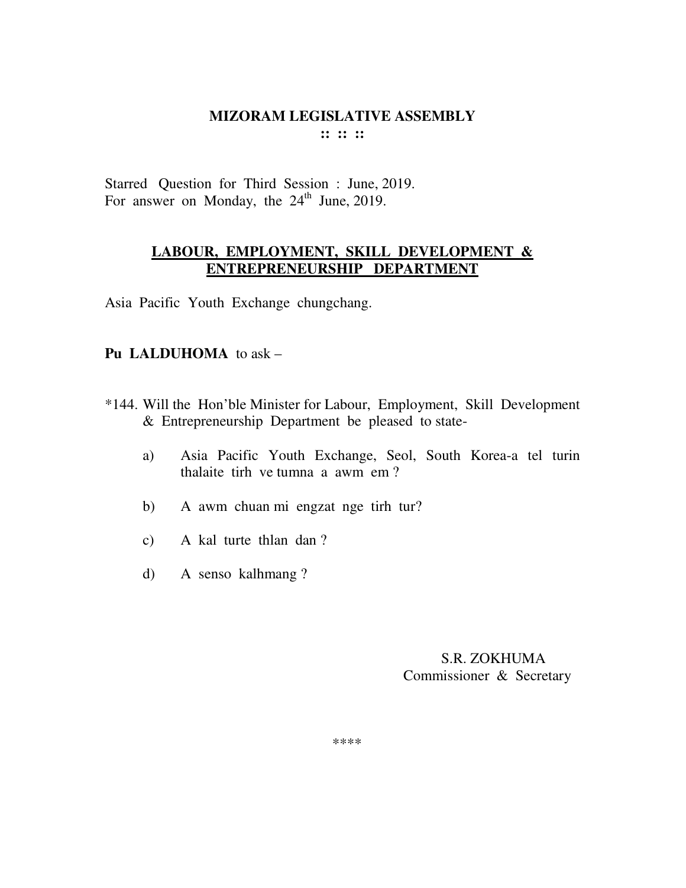Starred Question for Third Session : June, 2019. For answer on Monday, the  $24<sup>th</sup>$  June, 2019.

## **LABOUR, EMPLOYMENT, SKILL DEVELOPMENT & ENTREPRENEURSHIP DEPARTMENT**

Asia Pacific Youth Exchange chungchang.

# **Pu LALDUHOMA** to ask –

- \*144. Will the Hon'ble Minister for Labour, Employment, Skill Development & Entrepreneurship Department be pleased to state
	- a) Asia Pacific Youth Exchange, Seol, South Korea-a tel turin thalaite tirh ve tumna a awm em ?
	- b) A awm chuan mi engzat nge tirh tur?
	- c) A kal turte thlan dan ?
	- d) A senso kalhmang ?

## S.R. ZOKHUMA Commissioner & Secretary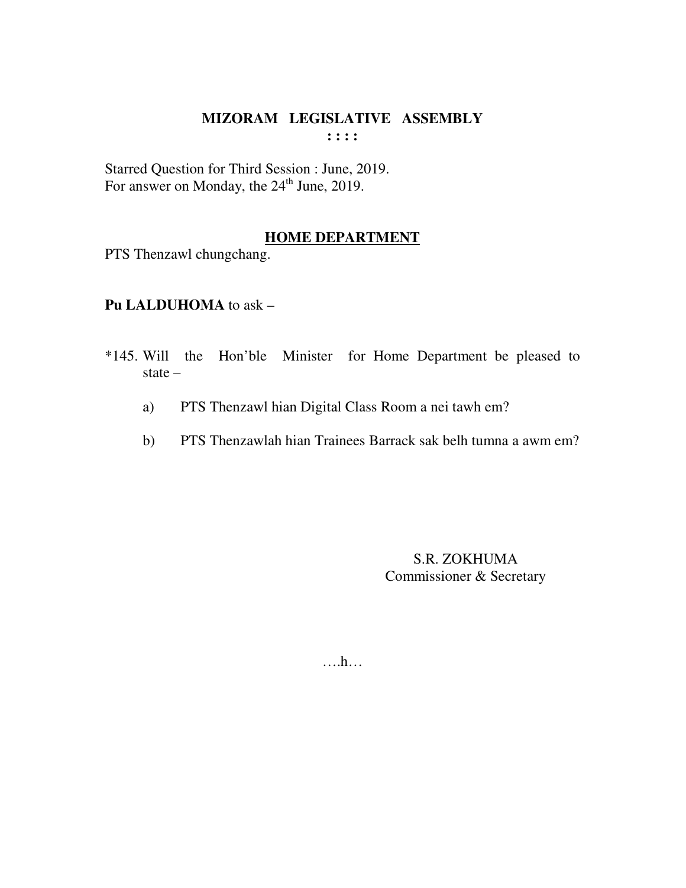Starred Question for Third Session : June, 2019.<br>For answer on Monday, the 24<sup>th</sup> June, 2019.

### **HOME DEPARTMENT**

PTS Thenzawl chungchang.

Pu LALDUHOMA to ask -

- \*145. Will the Hon'ble Minister for Home Department be pleased to state  $-$ 
	- PTS Thenzawl hian Digital Class Room a nei tawh em?  $a)$
	- PTS Thenzawlah hian Trainees Barrack sak belh tumna a awm em?  $b)$

S.R. ZOKHUMA Commissioner & Secretary

 $\dots$ ...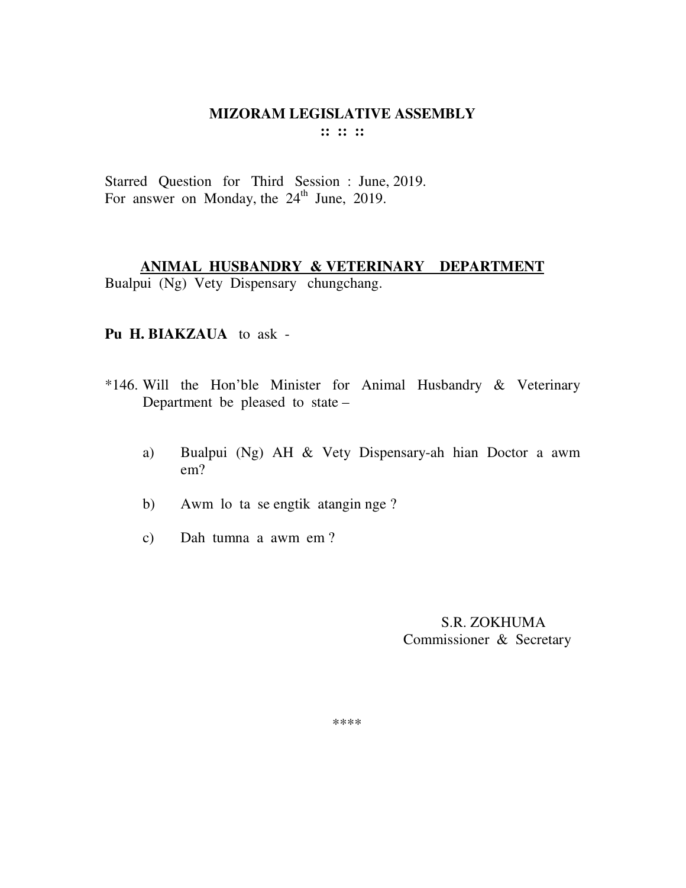Starred Question for Third Session : June, 2019. For answer on Monday, the  $24<sup>th</sup>$  June, 2019.

## **ANIMAL HUSBANDRY & VETERINARY DEPARTMENT**  Bualpui (Ng) Vety Dispensary chungchang.

#### **Pu H. BIAKZAUA** to ask -

- \*146. Will the Hon'ble Minister for Animal Husbandry & Veterinary Department be pleased to state –
	- a) Bualpui (Ng) AH & Vety Dispensary-ah hian Doctor a awm em?
	- b) Awm lo ta se engtik atangin nge ?
	- c) Dah tumna a awm em ?

 S.R. ZOKHUMA Commissioner & Secretary

\*\*\*\*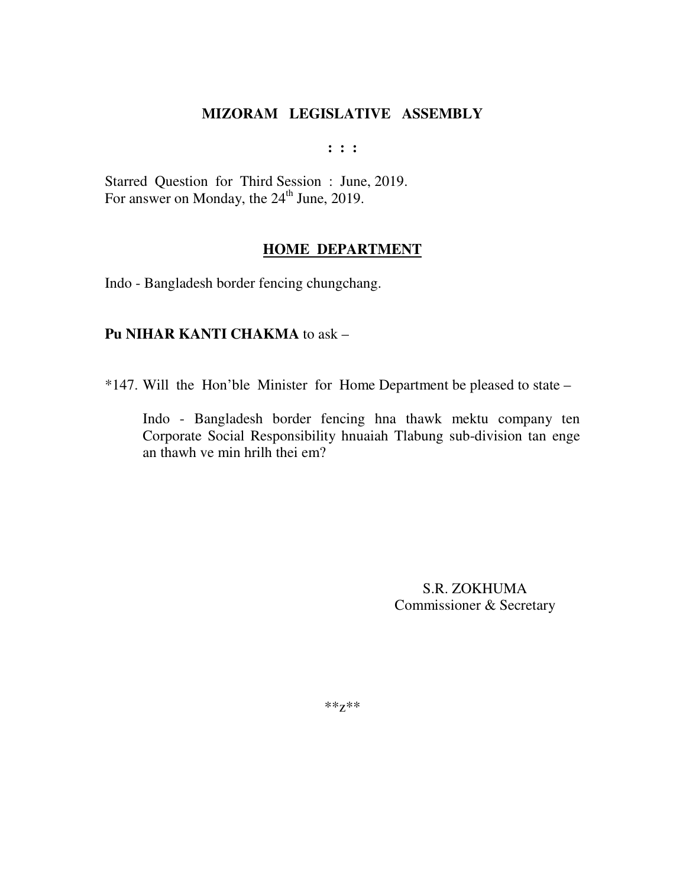$: : :$ 

Starred Question for Third Session: June, 2019. For answer on Monday, the 24<sup>th</sup> June, 2019.

#### **HOME DEPARTMENT**

Indo - Bangladesh border fencing chungchang.

## **Pu NIHAR KANTI CHAKMA** to ask -

\*147. Will the Hon'ble Minister for Home Department be pleased to state –

Indo - Bangladesh border fencing hna thawk mektu company ten Corporate Social Responsibility hnuaiah Tlabung sub-division tan enge an thawh ve min hrill thei em?

> S.R. ZOKHUMA Commissioner & Secretary

 $**Z**$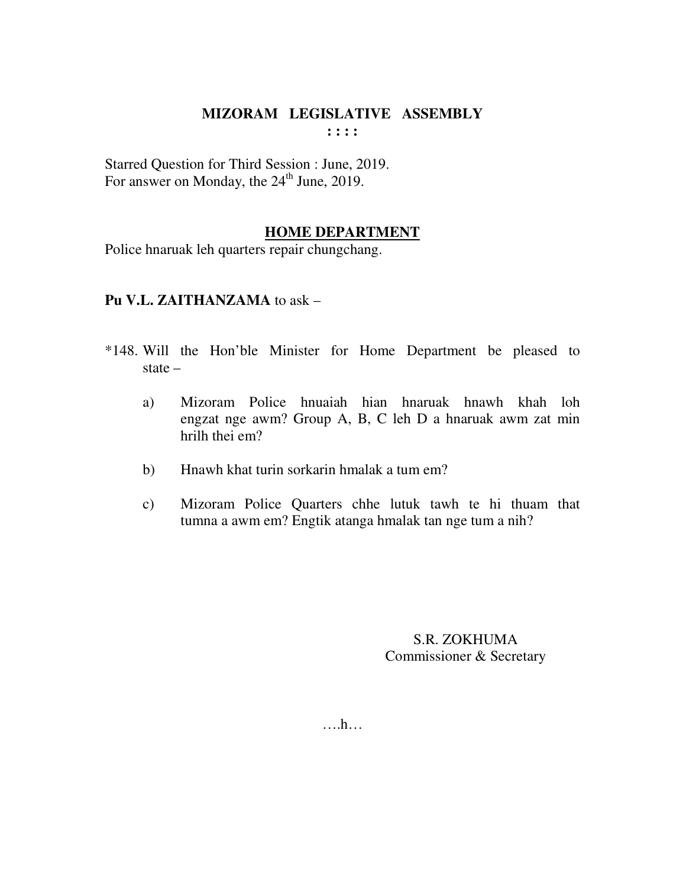Starred Question for Third Session : June, 2019. For answer on Monday, the 24<sup>th</sup> June, 2019.

## **HOME DEPARTMENT**

Police hnaruak leh quarters repair chungchang.

## **Pu V.L. ZAITHANZAMA** to ask –

- \*148. Will the Hon'ble Minister for Home Department be pleased to state –
	- a) Mizoram Police hnuaiah hian hnaruak hnawh khah loh engzat nge awm? Group A, B, C leh D a hnaruak awm zat min hrilh thei em?
	- b) Hnawh khat turin sorkarin hmalak a tum em?
	- c) Mizoram Police Quarters chhe lutuk tawh te hi thuam that tumna a awm em? Engtik atanga hmalak tan nge tum a nih?

S.R. ZOKHUMA Commissioner & Secretary

….h…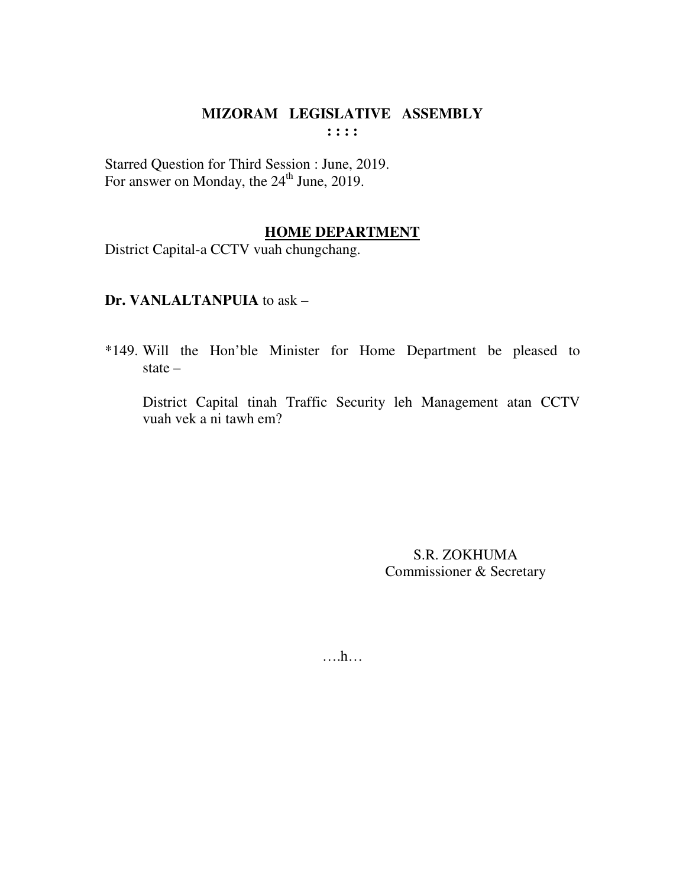Starred Question for Third Session : June, 2019. For answer on Monday, the  $24<sup>th</sup>$  June, 2019.

#### **HOME DEPARTMENT**

District Capital-a CCTV vuah chungchang.

## **Dr. VANLALTANPUIA** to ask –

\*149. Will the Hon'ble Minister for Home Department be pleased to state –

 District Capital tinah Traffic Security leh Management atan CCTV vuah vek a ni tawh em?

> S.R. ZOKHUMA Commissioner & Secretary

….h…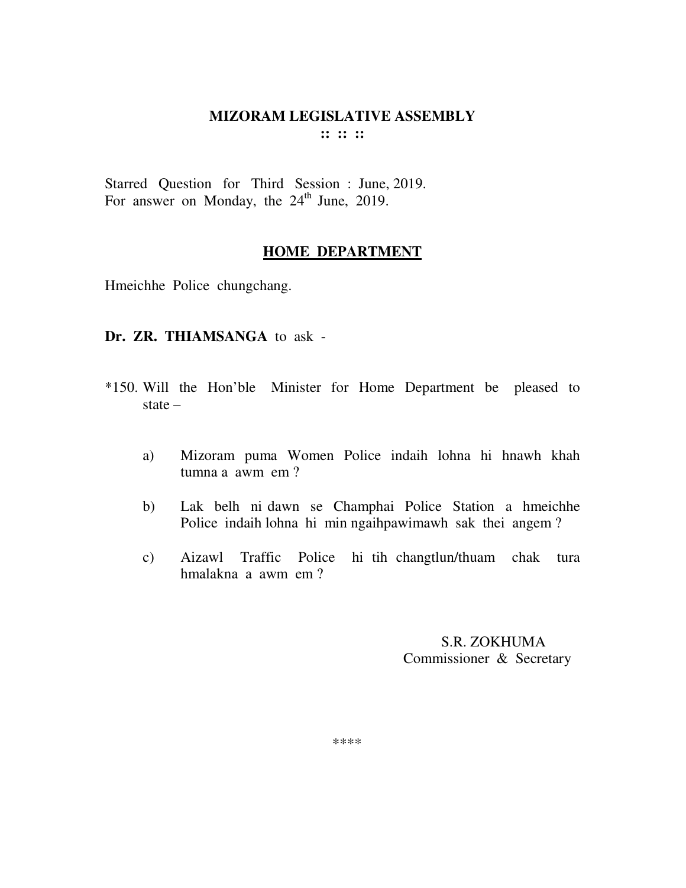Starred Question for Third Session : June, 2019. For answer on Monday, the 24<sup>th</sup> June, 2019.

#### **HOME DEPARTMENT**

Hmeichhe Police chungchang.

#### **Dr. ZR. THIAMSANGA** to ask -

- \*150. Will the Hon'ble Minister for Home Department be pleased to state –
	- a) Mizoram puma Women Police indaih lohna hi hnawh khah tumna a awm em ?
	- b) Lak belh ni dawn se Champhai Police Station a hmeichhe Police indaih lohna hi min ngaihpawimawh sak thei angem ?
	- c) Aizawl Traffic Police hi tih changtlun/thuam chak tura hmalakna a awm em ?

 S.R. ZOKHUMA Commissioner & Secretary

\*\*\*\*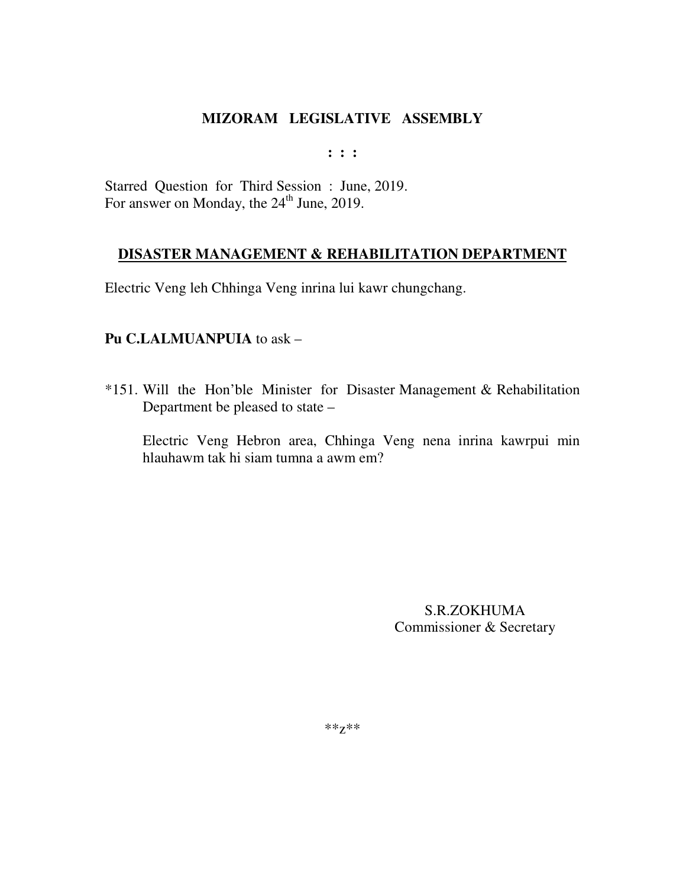**: : :** 

Starred Question for Third Session : June, 2019. For answer on Monday, the 24<sup>th</sup> June, 2019.

## **DISASTER MANAGEMENT & REHABILITATION DEPARTMENT**

Electric Veng leh Chhinga Veng inrina lui kawr chungchang.

## **Pu C.LALMUANPUIA** to ask –

\*151. Will the Hon'ble Minister for Disaster Management & Rehabilitation Department be pleased to state –

Electric Veng Hebron area, Chhinga Veng nena inrina kawrpui min hlauhawm tak hi siam tumna a awm em?

> S.R.ZOKHUMA Commissioner & Secretary

\*\*z\*\*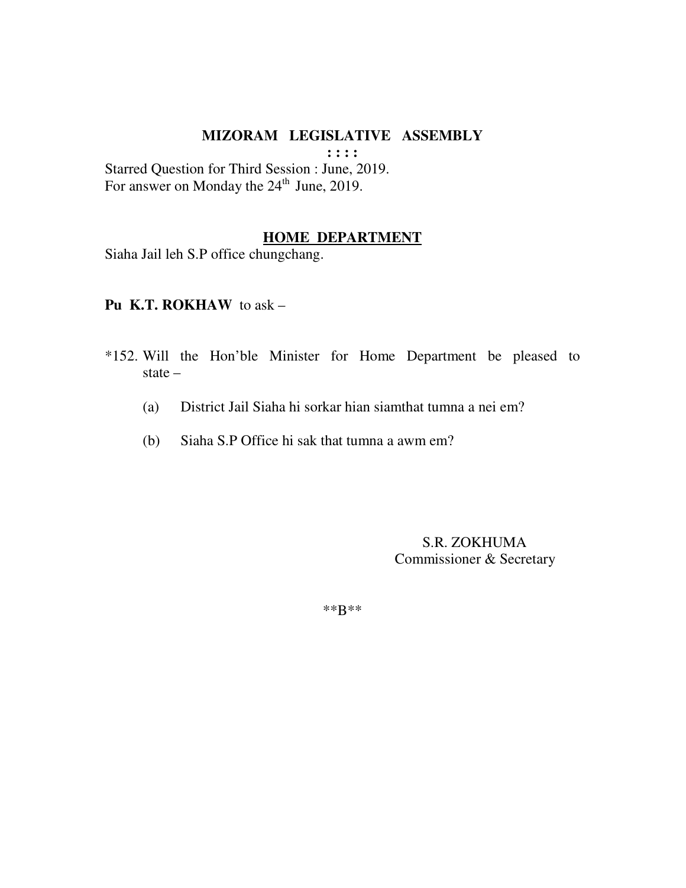**: : : :** 

Starred Question for Third Session : June, 2019. For answer on Monday the  $24<sup>th</sup>$  June, 2019.

#### **HOME DEPARTMENT**

Siaha Jail leh S.P office chungchang.

**Pu K.T. ROKHAW** to ask –

- \*152. Will the Hon'ble Minister for Home Department be pleased to state –
	- (a) District Jail Siaha hi sorkar hian siamthat tumna a nei em?
	- (b) Siaha S.P Office hi sak that tumna a awm em?

 S.R. ZOKHUMA Commissioner & Secretary

\*\*B\*\*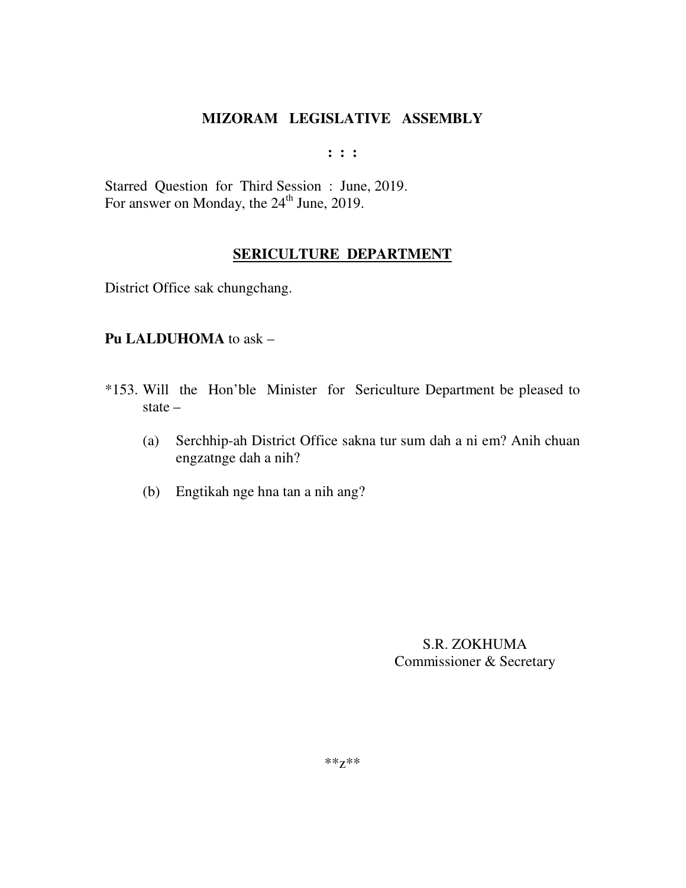**: : :** 

Starred Question for Third Session : June, 2019. For answer on Monday, the 24<sup>th</sup> June, 2019.

# **SERICULTURE DEPARTMENT**

District Office sak chungchang.

## **Pu LALDUHOMA** to ask –

- \*153. Will the Hon'ble Minister for Sericulture Department be pleased to state –
	- (a) Serchhip-ah District Office sakna tur sum dah a ni em? Anih chuan engzatnge dah a nih?
	- (b) Engtikah nge hna tan a nih ang?

S.R. ZOKHUMA Commissioner & Secretary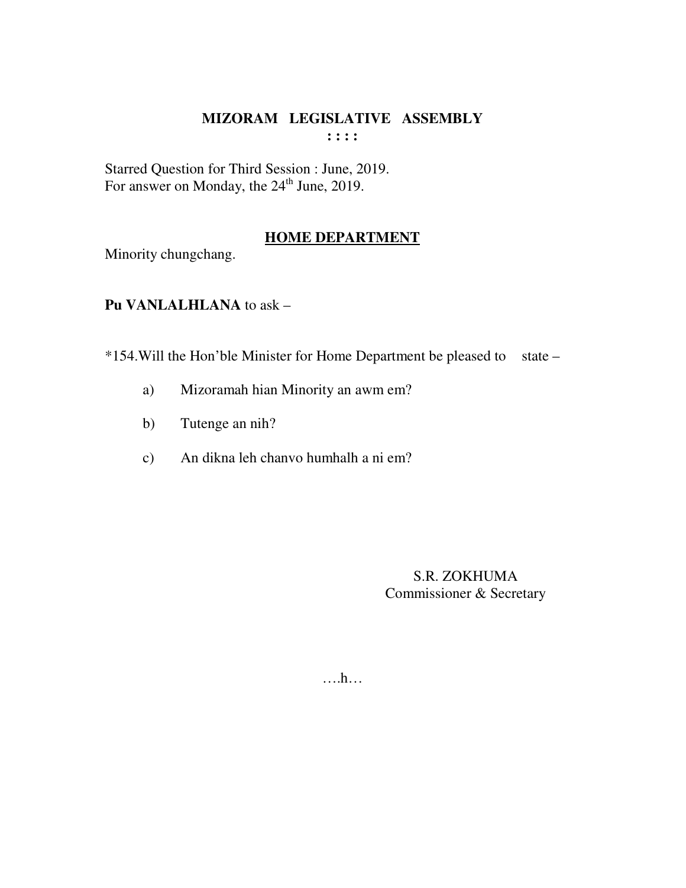Starred Question for Third Session : June, 2019.<br>For answer on Monday, the 24<sup>th</sup> June, 2019.

# **HOME DEPARTMENT**

Minority chungchang.

Pu VANLALHLANA to ask -

\*154. Will the Hon'ble Minister for Home Department be pleased to state -

- Mizoramah hian Minority an awm em?  $a)$
- Tutenge an nih?  $b)$
- An dikna leh chanyo humhalh a ni em?  $\mathbf{c})$

**S.R. ZOKHUMA** Commissioner & Secretary

 $\dots$ ...